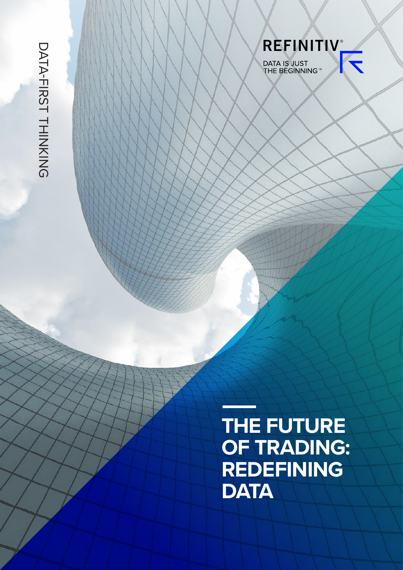DATA-FIRST THINKING DATA-FIRST THINKING

> **THE FUTURE OF TRADING: REDEFINING DATA**

REFINITIV

DATA IS JUST<br>THE BEGINNING™

K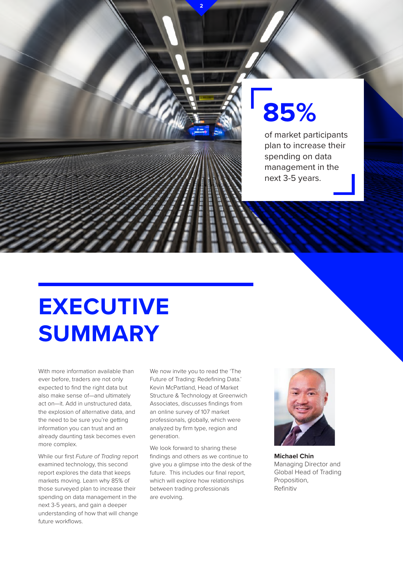# **85%**

of market participants plan to increase their spending on data management in the next 3-5 years.

### **EXECUTIVE SUMMARY**

With more information available than ever before, traders are not only expected to find the right data but also make sense of—and ultimately act on—it. Add in unstructured data, the explosion of alternative data, and the need to be sure you're getting information you can trust and an already daunting task becomes even more complex.

While our first *Future of Trading* report examined technology, this second report explores the data that keeps markets moving. Learn why 85% of those surveyed plan to increase their spending on data management in the next 3-5 years, and gain a deeper understanding of how that will change future workflows.

We now invite you to read the 'The Future of Trading: Redefining Data.' Kevin McPartland, Head of Market Structure & Technology at Greenwich Associates, discusses findings from an online survey of 107 market professionals, globally, which were analyzed by firm type, region and generation.

**2**

We look forward to sharing these findings and others as we continue to give you a glimpse into the desk of the future. This includes our final report, which will explore how relationships between trading professionals are evolving.



**Michael Chin** Managing Director and Global Head of Trading Proposition, Refinitiv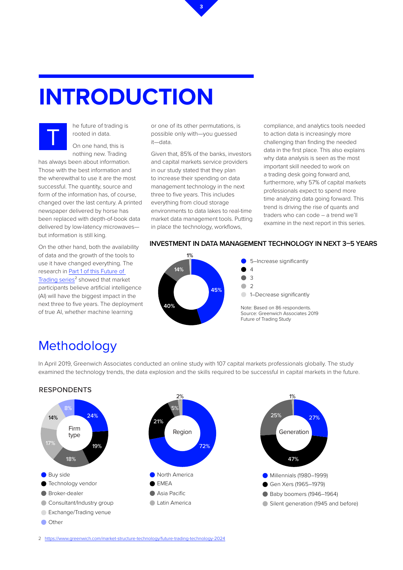## **INTRODUCTION**



he future of trading is rooted in data.

On one hand, this is nothing new. Trading

has always been about information. Those with the best information and the wherewithal to use it are the most successful. The quantity, source and form of the information has, of course, changed over the last century. A printed newspaper delivered by horse has been replaced with depth-of-book data delivered by low-latency microwaves but information is still king.

On the other hand, both the availability of data and the growth of the tools to use it have changed everything. The research in [Part 1 of this Future of](https://www.refinitiv.com/en/resources/special-report/automation-trading-and-future-technologies?utm_source=Social&utm_medium=Blog&utm_campaign=166878_2019GlobalFutureOfTrading&utm_term=&utm_content=FutureOfTradingPart1&referredBy=&elqCampaignId=8964)  [Trading series](https://www.refinitiv.com/en/resources/special-report/automation-trading-and-future-technologies?utm_source=Social&utm_medium=Blog&utm_campaign=166878_2019GlobalFutureOfTrading&utm_term=&utm_content=FutureOfTradingPart1&referredBy=&elqCampaignId=8964)² showed that market participants believe artificial intelligence (AI) will have the biggest impact in the next three to five years. The deployment of true AI, whether machine learning

or one of its other permutations, is possible only with—you guessed it—data.

**3**

Given that, 85% of the banks, investors and capital markets service providers in our study stated that they plan to increase their spending on data management technology in the next three to five years. This includes everything from cloud storage environments to data lakes to real-time market data management tools. Putting in place the technology, workflows,

compliance, and analytics tools needed to action data is increasingly more challenging than finding the needed data in the first place. This also explains why data analysis is seen as the most important skill needed to work on a trading desk going forward and, furthermore, why 57% of capital markets professionals expect to spend more time analyzing data going forward. This trend is driving the rise of quants and traders who can code – a trend we'll examine in the next report in this series.

#### **INVESTMENT IN DATA MANAGEMENT TECHNOLOGY IN NEXT 3–5 YEARS**



### Methodology

Exchange/Trading venue

**Other** 

In April 2019, Greenwich Associates conducted an online study with 107 capital markets professionals globally. The study examined the technology trends, the data explosion and the skills required to be successful in capital markets in the future.



Gen Xers (1965-1979)

47%

1%

Baby boomers (1946–1964)

Silent generation (1945 and before)

27%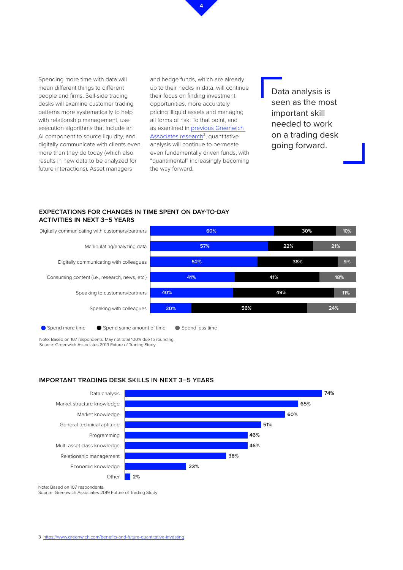

Spending more time with data will mean different things to different people and firms. Sell-side trading desks will examine customer trading patterns more systematically to help with relationship management, use execution algorithms that include an AI component to source liquidity, and digitally communicate with clients even more than they do today (which also results in new data to be analyzed for future interactions). Asset managers

and hedge funds, which are already up to their necks in data, will continue their focus on finding investment opportunities, more accurately pricing illiquid assets and managing all forms of risk. To that point, and as examined in **previous Greenwich** [Associates research](https://www.greenwich.com/benefits-and-future-quantitative-investing)<sup>3</sup>, quantitative analysis will continue to permeate even fundamentally driven funds, with "quantimental" increasingly becoming the way forward.

Data analysis is seen as the most important skill needed to work on a trading desk going forward.

#### **EXPECTATIONS FOR CHANGES IN TIME SPENT ON DAY-TO-DAY ACTIVITIES IN NEXT 3–5 YEARS**



Note: Based on 107 respondents. May not total 100% due to rounding. Source: Greenwich Associates 2019 Future of Trading Study

#### **IMPORTANT TRADING DESK SKILLS IN NEXT 3–5 YEARS**



Note: Based on 107 respondents.

Source: Greenwich Associates 2019 Future of Trading Study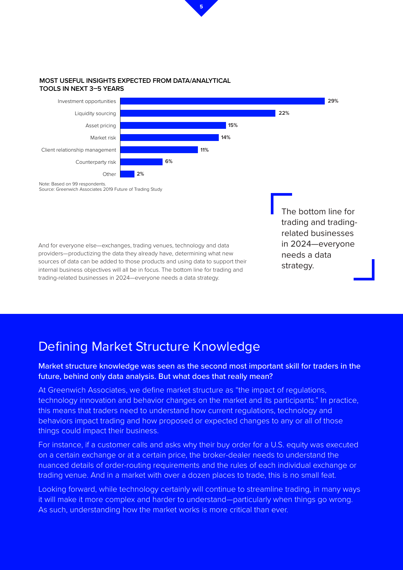

#### **MOST USEFUL INSIGHTS EXPECTED FROM DATA/ANALYTICAL TOOLS IN NEXT 3–5 YEARS**



And for everyone else—exchanges, trading venues, technology and data providers—productizing the data they already have, determining what new sources of data can be added to those products and using data to support their internal business objectives will all be in focus. The bottom line for trading and trading-related businesses in 2024—everyone needs a data strategy.

The bottom line for trading and tradingrelated businesses in 2024—everyone needs a data strategy.

### Defining Market Structure Knowledge

#### Market structure knowledge was seen as the second most important skill for traders in the future, behind only data analysis. But what does that really mean?

At Greenwich Associates, we define market structure as "the impact of regulations, technology innovation and behavior changes on the market and its participants." In practice, this means that traders need to understand how current regulations, technology and behaviors impact trading and how proposed or expected changes to any or all of those things could impact their business.

For instance, if a customer calls and asks why their buy order for a U.S. equity was executed on a certain exchange or at a certain price, the broker-dealer needs to understand the nuanced details of order-routing requirements and the rules of each individual exchange or trading venue. And in a market with over a dozen places to trade, this is no small feat.

Looking forward, while technology certainly will continue to streamline trading, in many ways it will make it more complex and harder to understand—particularly when things go wrong. As such, understanding how the market works is more critical than ever.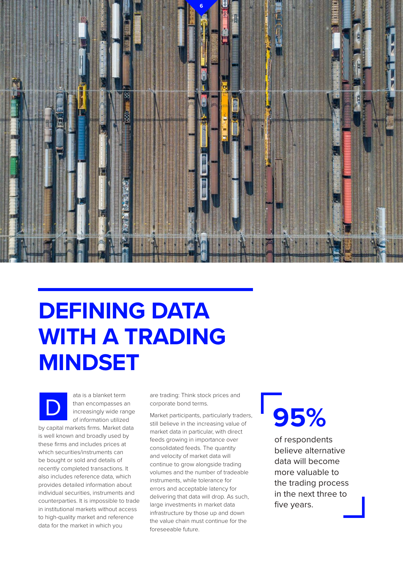

### **DEFINING DATA WITH A TRADING MINDSET**



ata is a blanket term than encompasses an increasingly wide range of information utilized

by capital markets firms. Market data is well known and broadly used by these firms and includes prices at which securities/instruments can be bought or sold and details of recently completed transactions. It also includes reference data, which provides detailed information about individual securities, instruments and counterparties. It is impossible to trade in institutional markets without access to high-quality market and reference data for the market in which you

are trading: Think stock prices and corporate bond terms.

Market participants, particularly traders, still believe in the increasing value of market data in particular, with direct feeds growing in importance over consolidated feeds. The quantity and velocity of market data will continue to grow alongside trading volumes and the number of tradeable instruments, while tolerance for errors and acceptable latency for delivering that data will drop. As such, large investments in market data infrastructure by those up and down the value chain must continue for the foreseeable future.

# **95%**

of respondents believe alternative data will become more valuable to the trading process in the next three to five years.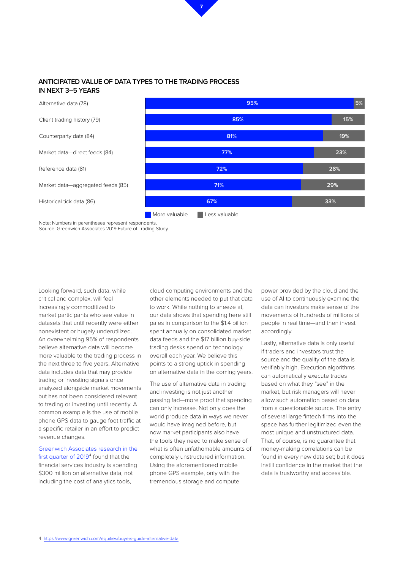

#### **ANTICIPATED VALUE OF DATA TYPES TO THE TRADING PROCESS IN NEXT 3–5 YEARS**



Note: Numbers in parentheses represent respondents. Source: Greenwich Associates 2019 Future of Trading Study

Looking forward, such data, while critical and complex, will feel increasingly commoditized to market participants who see value in datasets that until recently were either nonexistent or hugely underutilized. An overwhelming 95% of respondents believe alternative data will become more valuable to the trading process in the next three to five years. Alternative data includes data that may provide trading or investing signals once analyzed alongside market movements but has not been considered relevant to trading or investing until recently. A common example is the use of mobile phone GPS data to gauge foot traffic at a specific retailer in an effort to predict revenue changes.

[Greenwich Associates research in the](https://www.greenwich.com/equities/buyers-guide-alternative-data)  first quarter of 2019<sup>4</sup> found that the financial services industry is spending \$300 million on alternative data, not including the cost of analytics tools,

cloud computing environments and the other elements needed to put that data to work. While nothing to sneeze at, our data shows that spending here still pales in comparison to the \$1.4 billion spent annually on consolidated market data feeds and the \$17 billion buy-side trading desks spend on technology overall each year. We believe this points to a strong uptick in spending on alternative data in the coming years.

The use of alternative data in trading and investing is not just another passing fad—more proof that spending can only increase. Not only does the world produce data in ways we never would have imagined before, but now market participants also have the tools they need to make sense of what is often unfathomable amounts of completely unstructured information. Using the aforementioned mobile phone GPS example, only with the tremendous storage and compute

power provided by the cloud and the use of AI to continuously examine the data can investors make sense of the movements of hundreds of millions of people in real time—and then invest accordingly.

Lastly, alternative data is only useful if traders and investors trust the source and the quality of the data is verifiably high. Execution algorithms can automatically execute trades based on what they "see" in the market, but risk managers will never allow such automation based on data from a questionable source. The entry of several large fintech firms into the space has further legitimized even the most unique and unstructured data. That, of course, is no guarantee that money-making correlations can be found in every new data set; but it does instill confidence in the market that the data is trustworthy and accessible.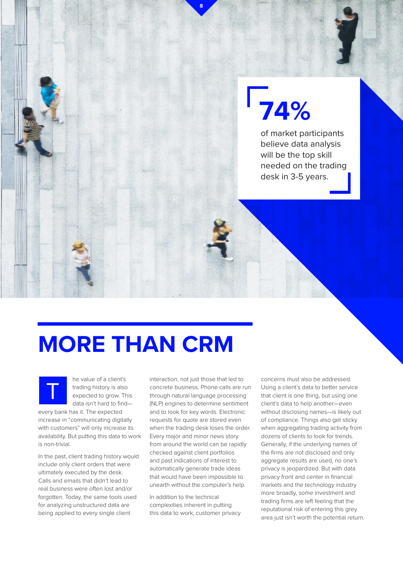# **74%**

of market participants believe data analysis will be the top skill needed on the trading desk in 3-5 years.

### **MORE THAN CRM**

he value of a client's trading history is also expected to grow. This data isn't hard to find—

every bank has it. The expected increase in "communicating digitally with customers" will only increase its availability. But putting this data to work is non-trivial.

T

In the past, client trading history would include only client orders that were ultimately executed by the desk. Calls and emails that didn't lead to real business were often lost and/or forgotten. Today, the same tools used for analyzing unstructured data are being applied to every single client

interaction, not just those that led to concrete business. Phone calls are run through natural language processing (NLP) engines to determine sentiment and to look for key words. Electronic requests for quote are stored even when the trading desk loses the order. Every major and minor news story from around the world can be rapidly checked against client portfolios and past indications of interest to automatically generate trade ideas that would have been impossible to unearth without the computer's help.

**8**

In addition to the technical complexities inherent in putting this data to work, customer privacy

concerns must also be addressed. Using a client's data to better service that client is one thing, but using one client's data to help another—even without disclosing names—is likely out of compliance. Things also get sticky when aggregating trading activity from dozens of clients to look for trends. Generally, if the underlying names of the firms are not disclosed and only aggregate results are used, no one's privacy is jeopardized. But with data privacy front and center in financial markets and the technology industry more broadly, some investment and trading firms are left feeling that the reputational risk of entering this grey area just isn't worth the potential return.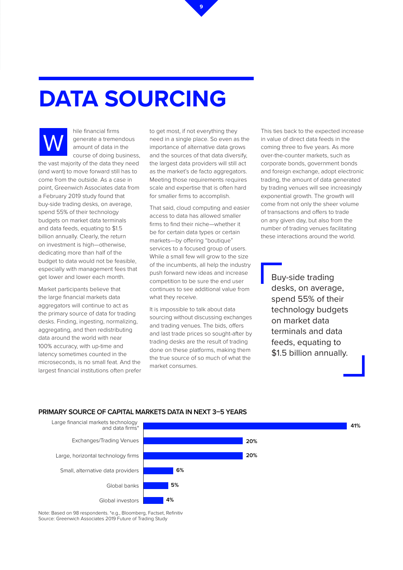## **DATA SOURCING**



hile financial firms generate a tremendous amount of data in the course of doing business,

the vast majority of the data they need (and want) to move forward still has to come from the outside. As a case in point, Greenwich Associates data from a February 2019 study found that buy-side trading desks, on average, spend 55% of their technology budgets on market data terminals and data feeds, equating to \$1.5 billion annually. Clearly, the return on investment is high—otherwise, dedicating more than half of the budget to data would not be feasible, especially with management fees that get lower and lower each month.

Market participants believe that the large financial markets data aggregators will continue to act as the primary source of data for trading desks. Finding, ingesting, normalizing, aggregating, and then redistributing data around the world with near 100% accuracy, with up-time and latency sometimes counted in the microseconds, is no small feat. And the largest financial institutions often prefer to get most, if not everything they need in a single place. So even as the importance of alternative data grows and the sources of that data diversify, the largest data providers will still act as the market's de facto aggregators. Meeting those requirements requires scale and expertise that is often hard for smaller firms to accomplish.

**9**

That said, cloud computing and easier access to data has allowed smaller firms to find their niche—whether it be for certain data types or certain markets—by offering "boutique" services to a focused group of users. While a small few will grow to the size of the incumbents, all help the industry push forward new ideas and increase competition to be sure the end user continues to see additional value from what they receive.

It is impossible to talk about data sourcing without discussing exchanges and trading venues. The bids, offers and last trade prices so sought-after by trading desks are the result of trading done on these platforms, making them the true source of so much of what the market consumes.

This ties back to the expected increase in value of direct data feeds in the coming three to five years. As more over-the-counter markets, such as corporate bonds, government bonds and foreign exchange, adopt electronic trading, the amount of data generated by trading venues will see increasingly exponential growth. The growth will come from not only the sheer volume of transactions and offers to trade on any given day, but also from the number of trading venues facilitating these interactions around the world.

> Buy-side trading desks, on average, spend 55% of their technology budgets on market data terminals and data feeds, equating to \$1.5 billion annually.

#### **PRIMARY SOURCE OF CAPITAL MARKETS DATA IN NEXT 3–5 YEARS**



Note: Based on 98 respondents. \*e.g., Bloomberg, Factset, Refinitiv Source: Greenwich Associates 2019 Future of Trading Study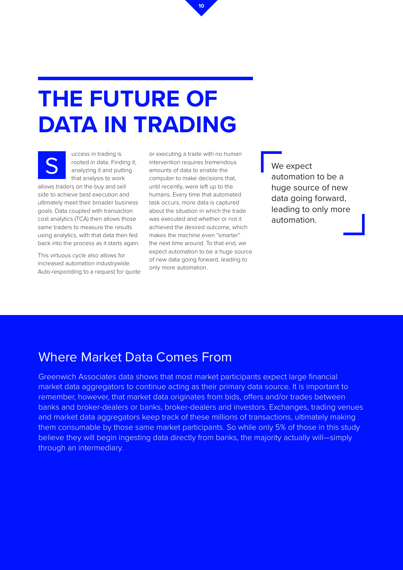### **THE FUTURE OF DATA IN TRADING**

uccess in trading is rooted in data. Finding it, analyzing it and putting that analysis to work

allows traders on the buy and sell side to achieve best execution and ultimately meet their broader business goals. Data coupled with transaction cost analytics (TCA) then allows those same traders to measure the results using analytics, with that data then fed back into the process as it starts again.

This virtuous cycle also allows for increased automation industrywide. Auto-responding to a request for quote

or executing a trade with no human intervention requires tremendous amounts of data to enable the computer to make decisions that, until recently, were left up to the humans. Every time that automated task occurs, more data is captured about the situation in which the trade was executed and whether or not it achieved the desired outcome, which makes the machine even "smarter" the next time around. To that end, we expect automation to be a huge source of new data going forward, leading to only more automation. S<br>
S<br>
S<br>
S<br>
S<br>
Tooted in data. Finding it, intervention requires tremendous<br>
analyzing it and putting<br>
that analysis to work<br>  $\overline{a}$  computer to make decisions that<br>  $\overline{a}$  automation

**10**

automation to be a huge source of new data going forward, leading to only more automation.

### Where Market Data Comes From

Greenwich Associates data shows that most market participants expect large financial market data aggregators to continue acting as their primary data source. It is important to remember, however, that market data originates from bids, offers and/or trades between banks and broker-dealers or banks, broker-dealers and investors. Exchanges, trading venues and market data aggregators keep track of these millions of transactions, ultimately making them consumable by those same market participants. So while only 5% of those in this study believe they will begin ingesting data directly from banks, the majority actually will—simply through an intermediary.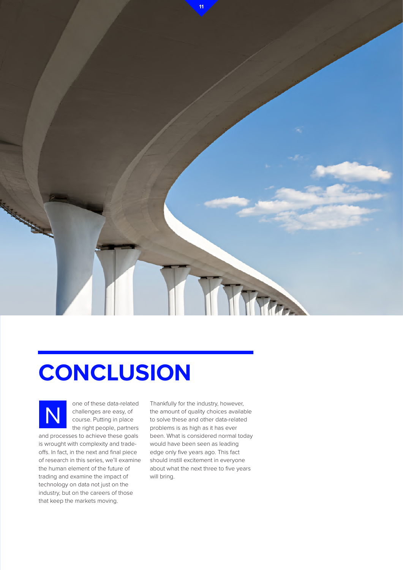

## **CONCLUSION**



one of these data-related challenges are easy, of course. Putting in place the right people, partners

and processes to achieve these goals is wrought with complexity and tradeoffs. In fact, in the next and final piece of research in this series, we'll examine the human element of the future of trading and examine the impact of technology on data not just on the industry, but on the careers of those that keep the markets moving.

Thankfully for the industry, however, the amount of quality choices available to solve these and other data-related problems is as high as it has ever been. What is considered normal today would have been seen as leading edge only five years ago. This fact should instill excitement in everyone about what the next three to five years will bring.